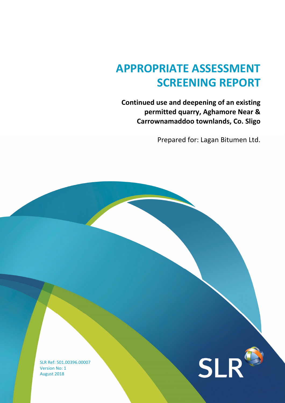# APPROPRIATE ASSESSMENT SCREENING REPORT

Continued use and deepening of an existing permitted quarry, Aghamore Near & Carrownamaddoo townlands, Co. Sligo

Prepared for: Lagan Bitumen Ltd.

SLR Ref: 501.00396.00007 Version No: 1 August 2018

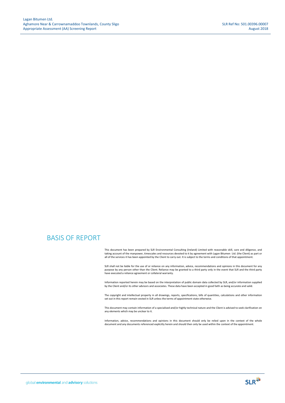### BASIS OF REPORT

This document has been prepared by SLR Environmental Consulting (Ireland) Limited with reasonable skill, care and diligence, and taking account of the manpower, timescales and resources devoted to it by agreement with Lagan Bitumen Ltd. (the Client) as part or all of the services it has been appointed by the Client to carry out. It is subject to the terms and conditions of that appointment.

SLR shall not be liable for the use of or reliance on any information, advice, recommendations and opinions in this document for any purpose by any person other than the Client. Reliance may be granted to a third party only in the event that SLR and the third party have executed a reliance agreement or collateral warranty.

Information reported herein may be based on the interpretation of public domain data collected by SLR, and/or information supplied by the Client and/or its other advisors and associates. These data have been accepted in good faith as being accurate and valid.

The copyright and intellectual property in all drawings, reports, specifications, bills of quantities, calculations and other information set out in this report remain vested in SLR unless the terms of appointment state otherwise.

This document may contain information of a specialised and/or highly technical nature and the Client is advised to seek clarification on any elements which may be unclear to it.

Information, advice, recommendations and opinions in this document should only be relied upon in the context of the whole<br>document and any documents referenced explicitly herein and should then only be used within the cont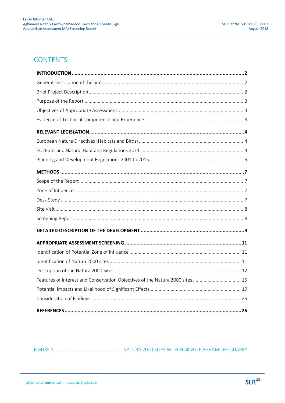### **CONTENTS**

| Features of Interest and Conservation Objectives of the Natura 2000 sites  15 |
|-------------------------------------------------------------------------------|
|                                                                               |
|                                                                               |
|                                                                               |

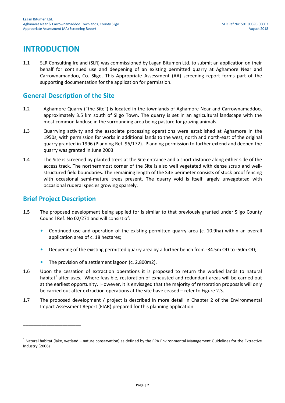### INTRODUCTION

1.1 SLR Consulting Ireland (SLR) was commissioned by Lagan Bitumen Ltd. to submit an application on their behalf for continued use and deepening of an existing permitted quarry at Aghamore Near and Carrownamaddoo, Co. Sligo. This Appropriate Assessment (AA) screening report forms part of the supporting documentation for the application for permission.

### General Description of the Site

- 1.2 Aghamore Quarry ("the Site") is located in the townlands of Aghamore Near and Carrownamaddoo, approximately 3.5 km south of Sligo Town. The quarry is set in an agricultural landscape with the most common landuse in the surrounding area being pasture for grazing animals.
- 1.3 Quarrying activity and the associate processing operations were established at Aghamore in the 1950s, with permission for works in additional lands to the west, north and north-east of the original quarry granted in 1996 (Planning Ref. 96/172). Planning permission to further extend and deepen the quarry was granted in June 2003.
- 1.4 The Site is screened by planted trees at the Site entrance and a short distance along either side of the access track. The northernmost corner of the Site is also well vegetated with dense scrub and wellstructured field boundaries. The remaining length of the Site perimeter consists of stock proof fencing with occasional semi-mature trees present. The quarry void is itself largely unvegetated with occasional ruderal species growing sparsely.

### Brief Project Description

\_\_\_\_\_\_\_\_\_\_\_\_\_\_\_\_\_\_\_\_\_\_

- 1.5 The proposed development being applied for is similar to that previously granted under Sligo County Council Ref. No 02/271 and will consist of:
	- Continued use and operation of the existing permitted quarry area (c. 10.9ha) within an overall application area of c. 18 hectares;
	- Deepening of the existing permitted quarry area by a further bench from -34.5m OD to -50m OD;
	- The provision of a settlement lagoon (c. 2,800m2).
- 1.6 Upon the cessation of extraction operations it is proposed to return the worked lands to natural habitat<sup>1</sup> after-uses. Where feasible, restoration of exhausted and redundant areas will be carried out at the earliest opportunity. However, it is envisaged that the majority of restoration proposals will only be carried out after extraction operations at the site have ceased – refer to Figure 2.3.
- 1.7 The proposed development / project is described in more detail in Chapter 2 of the Environmental Impact Assessment Report (EIAR) prepared for this planning application.

 $^1$  Natural habitat (lake, wetland – nature conservation) as defined by the EPA Environmental Management Guidelines for the Extractive Industry (2006)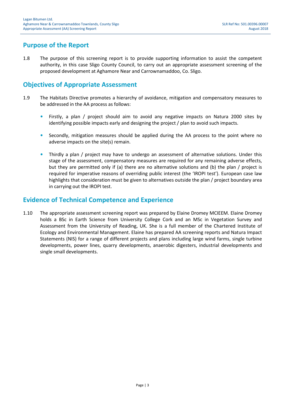### Purpose of the Report

1.8 The purpose of this screening report is to provide supporting information to assist the competent authority, in this case Sligo County Council, to carry out an appropriate assessment screening of the proposed development at Aghamore Near and Carrownamaddoo, Co. Sligo.

### Objectives of Appropriate Assessment

- 1.9 The Habitats Directive promotes a hierarchy of avoidance, mitigation and compensatory measures to be addressed in the AA process as follows:
	- Firstly, a plan / project should aim to avoid any negative impacts on Natura 2000 sites by identifying possible impacts early and designing the project / plan to avoid such impacts.
	- Secondly, mitigation measures should be applied during the AA process to the point where no adverse impacts on the site(s) remain.
	- Thirdly a plan / project may have to undergo an assessment of alternative solutions. Under this stage of the assessment, compensatory measures are required for any remaining adverse effects, but they are permitted only if (a) there are no alternative solutions and (b) the plan / project is required for imperative reasons of overriding public interest (the 'IROPI test'). European case law highlights that consideration must be given to alternatives outside the plan / project boundary area in carrying out the IROPI test.

### Evidence of Technical Competence and Experience

1.10 The appropriate assessment screening report was prepared by Elaine Dromey MCIEEM. Elaine Dromey holds a BSc in Earth Science from University College Cork and an MSc in Vegetation Survey and Assessment from the University of Reading, UK. She is a full member of the Chartered Institute of Ecology and Environmental Management. Elaine has prepared AA screening reports and Natura Impact Statements (NIS) for a range of different projects and plans including large wind farms, single turbine developments, power lines, quarry developments, anaerobic digesters, industrial developments and single small developments.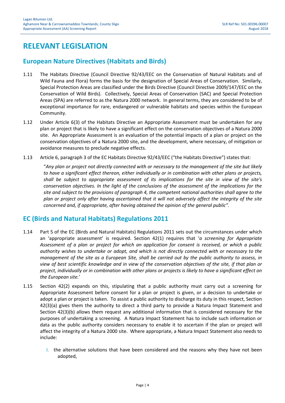### RELEVANT LEGISLATION

### European Nature Directives (Habitats and Birds)

- 1.11 The Habitats Directive (Council Directive 92/43/EEC on the Conservation of Natural Habitats and of Wild Fauna and Flora) forms the basis for the designation of Special Areas of Conservation. Similarly, Special Protection Areas are classified under the Birds Directive (Council Directive 2009/147/EEC on the Conservation of Wild Birds). Collectively, Special Areas of Conservation (SAC) and Special Protection Areas (SPA) are referred to as the Natura 2000 network. In general terms, they are considered to be of exceptional importance for rare, endangered or vulnerable habitats and species within the European Community.
- 1.12 Under Article 6(3) of the Habitats Directive an Appropriate Assessment must be undertaken for any plan or project that is likely to have a significant effect on the conservation objectives of a Natura 2000 site. An Appropriate Assessment is an evaluation of the potential impacts of a plan or project on the conservation objectives of a Natura 2000 site, and the development, where necessary, of mitigation or avoidance measures to preclude negative effects.
- 1.13 Article 6, paragraph 3 of the EC Habitats Directive 92/43/EEC ("the Habitats Directive") states that:

"Any plan or project not directly connected with or necessary to the management of the site but likely to have a significant effect thereon, either individually or in combination with other plans or projects, shall be subject to appropriate assessment of its implications for the site in view of the site's conservation objectives. In the light of the conclusions of the assessment of the implications for the site and subject to the provisions of paragraph 4, the competent national authorities shall agree to the plan or project only after having ascertained that it will not adversely affect the integrity of the site concerned and, if appropriate, after having obtained the opinion of the general public".

### EC (Birds and Natural Habitats) Regulations 2011

- 1.14 Part 5 of the EC (Birds and Natural Habitats) Regulations 2011 sets out the circumstances under which an 'appropriate assessment' is required. Section  $42(1)$  requires that 'a screening for Appropriate Assessment of a plan or project for which an application for consent is received, or which a public authority wishes to undertake or adopt, and which is not directly connected with or necessary to the management of the site as a European Site, shall be carried out by the public authority to assess, in view of best scientific knowledge and in view of the conservation objectives of the site, if that plan or project, individually or in combination with other plans or projects is likely to have a significant effect on the European site.'
- 1.15 Section 42(2) expands on this, stipulating that a public authority must carry out a screening for Appropriate Assessment before consent for a plan or project is given, or a decision to undertake or adopt a plan or project is taken. To assist a public authority to discharge its duty in this respect, Section 42(3)(a) gives them the authority to direct a third party to provide a Natura Impact Statement and Section 42(3)(b) allows them request any additional information that is considered necessary for the purposes of undertaking a screening. A Natura Impact Statement has to include such information or data as the public authority considers necessary to enable it to ascertain if the plan or project will affect the integrity of a Natura 2000 site. Where appropriate, a Natura Impact Statement also needs to include:
	- I. the alternative solutions that have been considered and the reasons why they have not been adopted,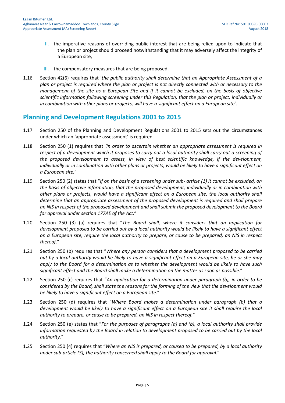- II. the imperative reasons of overriding public interest that are being relied upon to indicate that the plan or project should proceed notwithstanding that it may adversely affect the integrity of a European site,
- III. the compensatory measures that are being proposed.
- 1.16 Section 42(6) requires that 'the public authority shall determine that an Appropriate Assessment of a plan or project is required where the plan or project is not directly connected with or necessary to the management of the site as a European Site and if it cannot be excluded, on the basis of objective scientific information following screening under this Regulation, that the plan or project, individually or in combination with other plans or projects, will have a significant effect on a European site'.

### Planning and Development Regulations 2001 to 2015

- 1.17 Section 250 of the Planning and Development Regulations 2001 to 2015 sets out the circumstances under which an 'appropriate assessment' is required.
- 1.18 Section 250 (1) requires that 'In order to ascertain whether an appropriate assessment is required in respect of a development which it proposes to carry out a local authority shall carry out a screening of the proposed development to assess, in view of best scientific knowledge, if the development, individually or in combination with other plans or projects, would be likely to have a significant effect on a European site.'
- 1.19 Section 250 (2) states that "If on the basis of a screening under sub- article (1) it cannot be excluded, on the basis of objective information, that the proposed development, individually or in combination with other plans or projects, would have a significant effect on a European site, the local authority shall determine that an appropriate assessment of the proposed development is required and shall prepare an NIS in respect of the proposed development and shall submit the proposed development to the Board for approval under section 177AE of the Act."
- 1.20 Section 250 (3) (a) requires that "The Board shall, where it considers that an application for development proposed to be carried out by a local authority would be likely to have a significant effect on a European site, require the local authority to prepare, or cause to be prepared, an NIS in respect thereof."
- 1.21 Section 250 (b) requires that "Where any person considers that a development proposed to be carried out by a local authority would be likely to have a significant effect on a European site, he or she may apply to the Board for a determination as to whether the development would be likely to have such significant effect and the Board shall make a determination on the matter as soon as possible."
- 1.22 Section 250 (c) requires that "An application for a determination under paragraph (b), in order to be considered by the Board, shall state the reasons for the forming of the view that the development would be likely to have a significant effect on a European site."
- 1.23 Section 250 (d) requires that "Where Board makes a determination under paragraph (b) that a development would be likely to have a significant effect on a European site it shall require the local authority to prepare, or cause to be prepared, an NIS in respect thereof."
- 1.24 Section 250 (e) states that "For the purposes of paragraphs (a) and (b), a local authority shall provide information requested by the Board in relation to development proposed to be carried out by the local authority."
- 1.25 Section 250 (4) requires that "Where an NIS is prepared, or caused to be prepared, by a local authority under sub-article (3), the authority concerned shall apply to the Board for approval."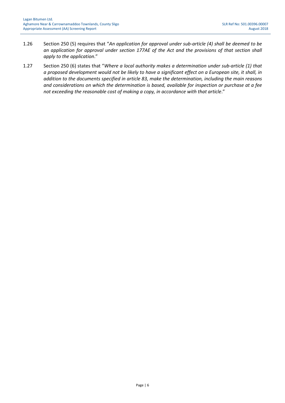- 1.26 Section 250 (5) requires that "An application for approval under sub-article (4) shall be deemed to be an application for approval under section 177AE of the Act and the provisions of that section shall apply to the application."
- 1.27 Section 250 (6) states that "Where a local authority makes a determination under sub-article (1) that a proposed development would not be likely to have a significant effect on a European site, it shall, in addition to the documents specified in article 83, make the determination, including the main reasons and considerations on which the determination is based, available for inspection or purchase at a fee not exceeding the reasonable cost of making a copy, in accordance with that article."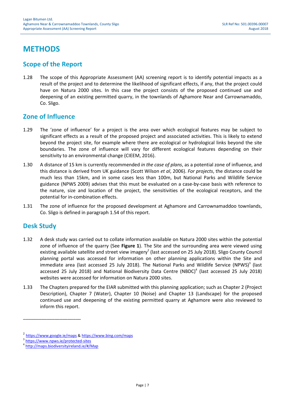## **METHODS**

### Scope of the Report

1.28 The scope of this Appropriate Assessment (AA) screening report is to identify potential impacts as a result of the project and to determine the likelihood of significant effects, if any, that the project could have on Natura 2000 sites. In this case the project consists of the proposed continued use and deepening of an existing permitted quarry, in the townlands of Aghamore Near and Carrownamaddo, Co. Sligo.

### Zone of Influence

- 1.29 The 'zone of influence' for a project is the area over which ecological features may be subject to significant effects as a result of the proposed project and associated activities. This is likely to extend beyond the project site, for example where there are ecological or hydrological links beyond the site boundaries. The zone of influence will vary for different ecological features depending on their sensitivity to an environmental change (CIEEM, 2016).
- 1.30 A distance of 15 km is currently recommended in the case of plans, as a potential zone of influence, and this distance is derived from UK guidance (Scott Wilson et al, 2006). For projects, the distance could be much less than 15km, and in some cases less than 100m, but National Parks and Wildlife Service guidance (NPWS 2009) advises that this must be evaluated on a case-by-case basis with reference to the nature, size and location of the project, the sensitivities of the ecological receptors, and the potential for in-combination effects.
- 1.31 The zone of influence for the proposed development at Aghamore and Carrownamaddoo townlands, Co. Sligo is defined in paragraph 1.54 of this report.

### Desk Study

- 1.32 A desk study was carried out to collate information available on Natura 2000 sites within the potential zone of influence of the quarry (See Figure 1). The Site and the surrounding area were viewed using existing available satellite and street view imagery<sup>2</sup> (last accessed on 25 July 2018). Sligo County Council planning portal was accessed for information on other planning applications within the Site and immediate area (last accessed 25 July 2018). The National Parks and Wildlife Service (NPWS)<sup>3</sup> (last accessed 25 July 2018) and National Biodiversity Data Centre (NBDC)<sup>4</sup> (last accessed 25 July 2018) websites were accessed for information on Natura 2000 sites.
- 1.33 The Chapters prepared for the EIAR submitted with this planning application; such as Chapter 2 (Project Description), Chapter 7 (Water), Chapter 10 (Noise) and Chapter 13 (Landscape) for the proposed continued use and deepening of the existing permitted quarry at Aghamore were also reviewed to inform this report.

\_\_\_\_\_\_\_\_\_\_\_\_\_\_\_\_\_\_\_\_\_\_

<sup>2</sup> https://www.google.ie/maps & https://www.bing.com/maps

<sup>&</sup>lt;sup>3</sup> https://www.npws.ie/protected-sites

<sup>4</sup> http://maps.biodiversityireland.ie/#/Map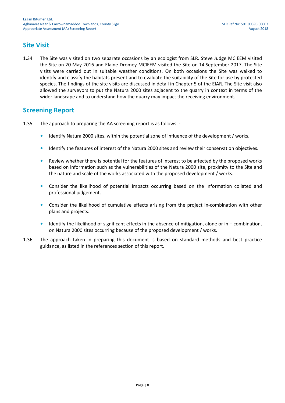### Site Visit

1.34 The Site was visited on two separate occasions by an ecologist from SLR. Steve Judge MCIEEM visited the Site on 20 May 2016 and Elaine Dromey MCIEEM visited the Site on 14 September 2017. The Site visits were carried out in suitable weather conditions. On both occasions the Site was walked to identify and classify the habitats present and to evaluate the suitability of the Site for use by protected species. The findings of the site visits are discussed in detail in Chapter 5 of the EIAR. The Site visit also allowed the surveyors to put the Natura 2000 sites adjacent to the quarry in context in terms of the wider landscape and to understand how the quarry may impact the receiving environment.

### Screening Report

- 1.35 The approach to preparing the AA screening report is as follows:
	- Identify Natura 2000 sites, within the potential zone of influence of the development / works.
	- Identify the features of interest of the Natura 2000 sites and review their conservation objectives.
	- Review whether there is potential for the features of interest to be affected by the proposed works based on information such as the vulnerabilities of the Natura 2000 site, proximity to the Site and the nature and scale of the works associated with the proposed development / works.
	- Consider the likelihood of potential impacts occurring based on the information collated and professional judgement.
	- Consider the likelihood of cumulative effects arising from the project in-combination with other plans and projects.
	- Identify the likelihood of significant effects in the absence of mitigation, alone or in combination, on Natura 2000 sites occurring because of the proposed development / works.
- 1.36 The approach taken in preparing this document is based on standard methods and best practice guidance, as listed in the references section of this report.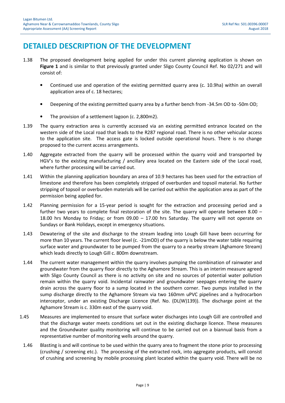### DETAILED DESCRIPTION OF THE DEVELOPMENT

- 1.38 The proposed development being applied for under this current planning application is shown on Figure 1 and is similar to that previously granted under Sligo County Council Ref. No 02/271 and will consist of:
	- Continued use and operation of the existing permitted quarry area (c. 10.9ha) within an overall application area of c. 18 hectares;
	- Deepening of the existing permitted quarry area by a further bench from -34.5m OD to -50m OD;
	- The provision of a settlement lagoon (c. 2,800m2).
- 1.39 The quarry extraction area is currently accessed via an existing permitted entrance located on the western side of the Local road that leads to the R287 regional road. There is no other vehicular access to the application site. The access gate is locked outside operational hours. There is no change proposed to the current access arrangements.
- 1.40 Aggregate extracted from the quarry will be processed within the quarry void and transported by HGV's to the existing manufacturing / ancillary area located on the Eastern side of the Local road, where further processing will be carried out.
- 1.41 Within the planning application boundary an area of 10.9 hectares has been used for the extraction of limestone and therefore has been completely stripped of overburden and topsoil material. No further stripping of topsoil or overburden materials will be carried out within the application area as part of the permission being applied for.
- 1.42 Planning permission for a 15-year period is sought for the extraction and processing period and a further two years to complete final restoration of the site. The quarry will operate between 8.00 – 18.00 hrs Monday to Friday; or from 09.00 – 17.00 hrs Saturday. The quarry will not operate on Sundays or Bank Holidays, except in emergency situations.
- 1.43 Dewatering of the site and discharge to the stream leading into Lough Gill have been occurring for more than 10 years. The current floor level (c. -21mOD) of the quarry is below the water table requiring surface water and groundwater to be pumped from the quarry to a nearby stream (Aghamore Stream) which leads directly to Lough Gill c. 800m downstream.
- 1.44 The current water management within the quarry involves pumping the combination of rainwater and groundwater from the quarry floor directly to the Aghamore Stream. This is an interim measure agreed with Sligo County Council as there is no activity on site and no sources of potential water pollution remain within the quarry void. Incidental rainwater and groundwater seepages entering the quarry drain across the quarry floor to a sump located in the southern corner. Two pumps installed in the sump discharge directly to the Aghamore Stream via two 160mm uPVC pipelines and a hydrocarbon interceptor, under an existing Discharge Licence (Ref. No. (DL(W)139)). The discharge point at the Aghamore Stream is c. 330m east of the quarry void.
- 1.45 Measures are implemented to ensure that surface water discharges into Lough Gill are controlled and that the discharge water meets conditions set out in the existing discharge licence. These measures and the Groundwater quality monitoring will continue to be carried out on a biannual basis from a representative number of monitoring wells around the quarry.
	- 1.46 Blasting is and will continue to be used within the quarry area to fragment the stone prior to processing (crushing / screening etc.). The processing of the extracted rock, into aggregate products, will consist of crushing and screening by mobile processing plant located within the quarry void. There will be no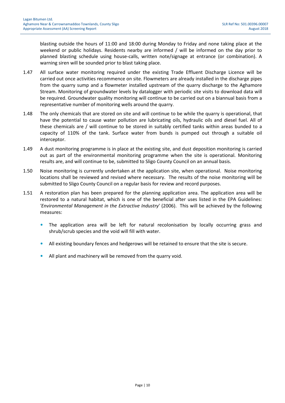blasting outside the hours of 11:00 and 18:00 during Monday to Friday and none taking place at the weekend or public holidays. Residents nearby are informed / will be informed on the day prior to planned blasting schedule using house-calls, written note/signage at entrance (or combination). A warning siren will be sounded prior to blast taking place.

- 1.47 All surface water monitoring required under the existing Trade Effluent Discharge Licence will be carried out once activities recommence on site. Flowmeters are already installed in the discharge pipes from the quarry sump and a flowmeter installed upstream of the quarry discharge to the Aghamore Stream. Monitoring of groundwater levels by datalogger with periodic site visits to download data will be required. Groundwater quality monitoring will continue to be carried out on a biannual basis from a representative number of monitoring wells around the quarry.
- 1.48 The only chemicals that are stored on site and will continue to be while the quarry is operational, that have the potential to cause water pollution are lubricating oils, hydraulic oils and diesel fuel. All of these chemicals are / will continue to be stored in suitably certified tanks within areas bunded to a capacity of 110% of the tank. Surface water from bunds is pumped out through a suitable oil interceptor.
- 1.49 A dust monitoring programme is in place at the existing site, and dust deposition monitoring is carried out as part of the environmental monitoring programme when the site is operational. Monitoring results are, and will continue to be, submitted to Sligo County Council on an annual basis.
- 1.50 Noise monitoring is currently undertaken at the application site, when operational. Noise monitoring locations shall be reviewed and revised where necessary. The results of the noise monitoring will be submitted to Sligo County Council on a regular basis for review and record purposes.
- 1.51 A restoration plan has been prepared for the planning application area. The application area will be restored to a natural habitat, which is one of the beneficial after uses listed in the EPA Guidelines: 'Environmental Management in the Extractive Industry' (2006). This will be achieved by the following measures:
	- The application area will be left for natural recolonisation by locally occurring grass and shrub/scrub species and the void will fill with water.
	- All existing boundary fences and hedgerows will be retained to ensure that the site is secure.
	- All plant and machinery will be removed from the quarry void.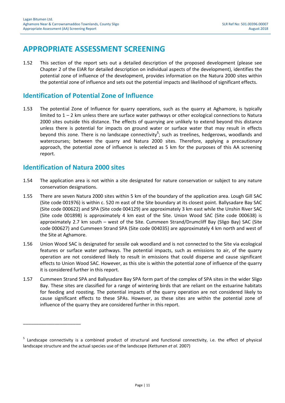### APPROPRIATE ASSESSMENT SCREENING

1.52 This section of the report sets out a detailed description of the proposed development (please see Chapter 2 of the EIAR for detailed description on individual aspects of the development), identifies the potential zone of influence of the development, provides information on the Natura 2000 sites within the potential zone of influence and sets out the potential impacts and likelihood of significant effects.

### Identification of Potential Zone of Influence

1.53 The potential Zone of Influence for quarry operations, such as the quarry at Aghamore, is typically limited to  $1 - 2$  km unless there are surface water pathways or other ecological connections to Natura 2000 sites outside this distance. The effects of quarrying are unlikely to extend beyond this distance unless there is potential for impacts on ground water or surface water that may result in effects beyond this zone. There is no landscape connectivity<sup>5</sup>; such as treelines, hedgerows, woodlands and watercourses; between the quarry and Natura 2000 sites. Therefore, applying a precautionary approach, the potential zone of influence is selected as 5 km for the purposes of this AA screening report.

### Identification of Natura 2000 sites

- 1.54 The application area is not within a site designated for nature conservation or subject to any nature conservation designations.
- 1.55 There are seven Natura 2000 sites within 5 km of the boundary of the application area. Lough Gill SAC (Site code 001976) is within c. 520 m east of the Site boundary at its closest point. Ballysadare Bay SAC (Site code 000622) and SPA (Site code 004129) are approximately 3 km east while the Unshin River SAC (Site code 001898) is approximately 4 km east of the Site. Union Wood SAC (Site code 000638) is approximately 2.7 km south – west of the Site. Cummeen Strand/Drumcliff Bay (Sligo Bay) SAC (Site code 000627) and Cummeen Strand SPA (Site code 004035) are approximately 4 km north and west of the Site at Aghamore.
- 1.56 Union Wood SAC is designated for sessile oak woodland and is not connected to the Site via ecological features or surface water pathways. The potential impacts, such as emissions to air, of the quarry operation are not considered likely to result in emissions that could disperse and cause significant effects to Union Wood SAC. However, as this site is within the potential zone of influence of the quarry it is considered further in this report.
- 1.57 Cummeen Strand SPA and Ballysadare Bay SPA form part of the complex of SPA sites in the wider Sligo Bay. These sites are classified for a range of wintering birds that are reliant on the estuarine habitats for feeding and roosting. The potential impacts of the quarry operation are not considered likely to cause significant effects to these SPAs. However, as these sites are within the potential zone of influence of the quarry they are considered further in this report.

<sup>&</sup>lt;sup>5</sup> Landscape connectivity is a combined product of structural and functional connectivity, i.e. the effect of physical landscape structure and the actual species use of the landscape (Kettunen et al. 2007)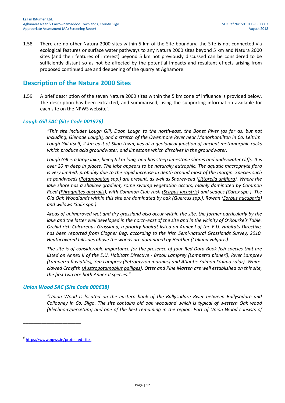1.58 There are no other Natura 2000 sites within 5 km of the Site boundary; the Site is not connected via ecological features or surface water pathways to any Natura 2000 sites beyond 5 km and Natura 2000 sites (and their features of interest) beyond 5 km not previously discussed can be considered to be sufficiently distant so as not be affected by the potential impacts and resultant effects arising from proposed continued use and deepening of the quarry at Aghamore.

### Description of the Natura 2000 Sites

1.59 A brief description of the seven Natura 2000 sites within the 5 km zone of influence is provided below. The description has been extracted, and summarised, using the supporting information available for each site on the NPWS website<sup>6</sup>.

#### Lough Gill SAC (Site Code 001976)

"This site includes Lough Gill, Doon Lough to the north-east, the Bonet River (as far as, but not including, Glenade Lough), and a stretch of the Owenmore River near Manorhamilton in Co. Leitrim. Lough Gill itself, 2 km east of Sligo town, lies at a geological junction of ancient metamorphic rocks which produce acid groundwater, and limestone which dissolves in the groundwater.

Lough Gill is a large lake, being 8 km long, and has steep limestone shores and underwater cliffs. It is over 20 m deep in places. The lake appears to be naturally eutrophic. The aquatic macrophyte flora is very limited, probably due to the rapid increase in depth around most of the margin. Species such as pondweeds (Potamogeton spp.) are present, as well as Shoreweed (Littorella uniflora). Where the lake shore has a shallow gradient, some swamp vegetation occurs, mainly dominated by Common Reed (Phragmites australis), with Common Club-rush (Scirpus lacustris) and sedges (Carex spp.). The Old Oak Woodlands within this site are dominated by oak (Quercus spp.), Rowan (Sorbus aucuparia) and willows (Salix spp.)

Areas of unimproved wet and dry grassland also occur within the site, the former particularly by the lake and the latter well developed in the north-east of the site and in the vicinity of O'Rourke's Table. Orchid-rich Calcareous Grassland, a priority habitat listed on Annex I of the E.U. Habitats Directive, has been reported from Clogher Beg, according to the Irish Semi-natural Grasslands Survey, 2010. Heathcovered hillsides above the woods are dominated by Heather (Calluna vulgaris).

The site is of considerable importance for the presence of four Red Data Book fish species that are listed on Annex II of the E.U. Habitats Directive - Brook Lamprey (Lampetra planeri), River Lamprey (Lampetra fluviatilis), Sea Lamprey (Petromyzon marinus) and Atlantic Salmon (Salmo salar). Whiteclawed Crayfish (Austropotamobius pallipes), Otter and Pine Marten are well established on this site, the first two are both Annex II species."

#### Union Wood SAC (Site Code 000638)

"Union Wood is located on the eastern bank of the Ballysadare River between Ballysadare and Collooney in Co. Sligo. The site contains old oak woodland which is typical of western Oak wood (Blechno-Quercetum) and one of the best remaining in the region. Part of Union Wood consists of

\_\_\_\_\_\_\_\_\_\_\_\_\_\_\_\_\_\_\_\_\_\_

<sup>6</sup> https://www.npws.ie/protected-sites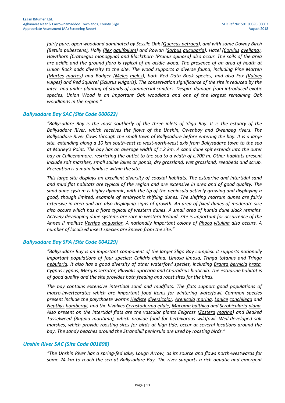fairly pure, open woodland dominated by Sessile Oak (Quercus petraea), and with some Downy Birch (Betula pubescens), Holly (Ilex aquifolium) and Rowan (Sorbus aucuparia). Hazel (Corylus avellana), Hawthorn (Crataegus monogyna) and Blackthorn (Prunus spinosa) also occur. The soils of the area are acidic and the ground flora is typical of an acidic wood. The presence of an area of heath at Union Rock adds diversity to the site. The wood supports a diverse fauna, including Pine Marten (Martes martes) and Badger (Meles meles), both Red Data Book species, and also Fox (Vulpes vulpes) and Red Squirrel (Sciurus vulgaris). The conservation significance of the site is reduced by the inter- and under-planting of stands of commercial conifers. Despite damage from introduced exotic species, Union Wood is an important Oak woodland and one of the largest remaining Oak woodlands in the region."

#### Ballysadare Bay SAC (Site Code 000622)

"Ballysadare Bay is the most southerly of the three inlets of Sligo Bay. It is the estuary of the Ballysadare River, which receives the flows of the Unshin, Owenboy and Owenbeg rivers. The Ballysadare River flows through the small town of Ballysadare before entering the bay. It is a large site, extending along a 10 km south-east to west-north-west axis from Ballysadare town to the sea at Marley's Point. The bay has an average width of c.2 km. A sand dune spit extends into the outer bay at Culleenamore, restricting the outlet to the sea to a width of c.700 m. Other habitats present include salt marshes, small saline lakes or ponds, dry grassland, wet grassland, reedbeds and scrub. Recreation is a main landuse within the site.

This large site displays an excellent diversity of coastal habitats. The estuarine and intertidal sand and mud flat habitats are typical of the region and are extensive in area and of good quality. The sand dune system is highly dynamic, with the tip of the peninsula actively growing and displaying a good, though limited, example of embryonic shifting dunes. The shifting marram dunes are fairly extensive in area and are also displaying signs of growth. An area of fixed dunes of moderate size also occurs which has a flora typical of western dunes. A small area of humid dune slack remains. Actively developing dune systems are rare in western Ireland. Site is important for occurrence of the Annex II mollusc Vertigo angustior. A nationally important colony of Phoca vitulina also occurs. A number of localised insect species are known from the site."

#### Ballysadare Bay SPA (Site Code 004129)

"Ballysadare Bay is an important component of the larger Sligo Bay complex. It supports nationally important populations of four species: Calidris alpina, Limosa limosa, Tringa totanus and Tringa nebularia. It also has a good diversity of other waterfowl species, including Branta bernicla hrota, Cygnus cygnus, Mergus serrator, Pluvialis apricaria and Charadrius hiaticula. The estuarine habitat is of good quality and the site provides both feeding and roost sites for the birds.

The bay contains extensive intertidal sand and mudflats. The flats support good populations of macro-invertebrates which are important food items for wintering waterfowl. Common species present include the polychaete worms **Hediste diversicolor**, Arenicola marina, Lanice conchilega and Nepthys hombergii, and the bivalves Cerastoderma edule, Macoma balthica and Scrobicularia plana. Also present on the intertidal flats are the vascular plants Eelgrass (Zostera marina) and Beaked Tasselweed (Ruppia maritima), which provide food for herbivorous wildfowl. Well-developed salt marshes, which provide roosting sites for birds at high tide, occur at several locations around the bay. The sandy beaches around the Strandhill peninsula are used by roosting birds."

#### Unshin River SAC (Site Code 001898)

"The Unshin River has a spring-fed lake, Lough Arrow, as its source and flows north-westwards for some 24 km to reach the sea at Ballysadare Bay. The river supports a rich aquatic and emergent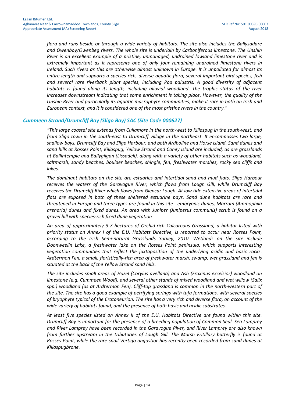flora and runs beside or through a wide variety of habitats. The site also includes the Ballysadare and Owenboy/Owenbeg rivers. The whole site is underlain by Carboniferous limestone. The Unshin River is an excellent example of a pristine, unmanaged, undrained lowland limestone river and is extremely important as it represents one of only four remaining undrained limestone rivers in Ireland. Such rivers as this are otherwise almost unknown in Europe. It is unpolluted for almost its entire length and supports a species-rich, diverse aquatic flora, several important bird species, fish and several rare riverbank plant species, including Poa palustris. A good diversity of adjacent habitats is found along its length, including alluvial woodland. The trophic status of the river increases downstream indicating that some enrichment is taking place. However, the quality of the Unshin River and particularly its aquatic macrophyte communities, make it rare in both an Irish and European context, and it is considered one of the most pristine rivers in the country."

#### Cummeen Strand/Drumcliff Bay (Sligo Bay) SAC (Site Code 000627)

"This large coastal site extends from Cullamore in the north-west to Killaspug in the south-west, and from Sligo town in the south-east to Drumcliff village in the northeast. It encompasses two large, shallow bays, Drumcliff Bay and Sligo Harbour, and both Ardboline and Horse Island. Sand dunes and sand hills at Rosses Point, Killaspug, Yellow Strand and Coney Island are included, as are grasslands at Ballintemple and Ballygilgan (Lissadell), along with a variety of other habitats such as woodland, saltmarsh, sandy beaches, boulder beaches, shingle, fen, freshwater marshes, rocky sea cliffs and lakes.

The dominant habitats on the site are estuaries and intertidal sand and mud flats. Sligo Harbour receives the waters of the Garavogue River, which flows from Lough Gill, while Drumcliff Bay receives the Drumcliff River which flows from Glencar Lough. At low tide extensive areas of intertidal flats are exposed in both of these sheltered estuarine bays. Sand dune habitats are rare and threatened in Europe and three types are found in this site - embryonic dunes, Marram (Ammophila arenaria) dunes and fixed dunes. An area with Juniper (Juniperus communis) scrub is found on a gravel hill with species-rich fixed dune vegetation

An area of approximately 3.7 hectares of Orchid-rich Calcareous Grassland, a habitat listed with priority status on Annex I of the E.U. Habitats Directive, is reported to occur near Rosses Point, according to the Irish Semi-natural Grasslands Survey, 2010. Wetlands on the site include Doonweelin Lake, a freshwater lake on the Rosses Point peninsula, which supports interesting vegetation communities that reflect the juxtaposition of the underlying acidic and basic rocks. Ardtermon Fen, a small, floristically-rich area of freshwater marsh, swamp, wet grassland and fen is situated at the back of the Yellow Strand sand hills.

The site includes small areas of Hazel (Corylus avellana) and Ash (Fraxinus excelsior) woodland on limestone (e.g. Cummeen Wood), and several other stands of mixed woodland and wet willow (Salix spp.) woodland (as at Ardtermon Fen). Cliff-top grassland is common in the north-western part of the site. The site has a good example of petrifying springs with tufa formations, with several species of bryophyte typical of the Cratoneurion. The site has a very rich and diverse flora, on account of the wide variety of habitats found, and the presence of both basic and acidic substrates.

At least five species listed on Annex II of the E.U. Habitats Directive are found within this site. Drumcliff Bay is important for the presence of a breeding population of Common Seal. Sea Lamprey and River Lamprey have been recorded in the Garavogue River, and River Lamprey are also known from further upstream in the tributaries of Lough Gill. The Marsh Fritillary butterfly is found at Rosses Point, while the rare snail Vertigo angustior has recently been recorded from sand dunes at Killaspugbrone.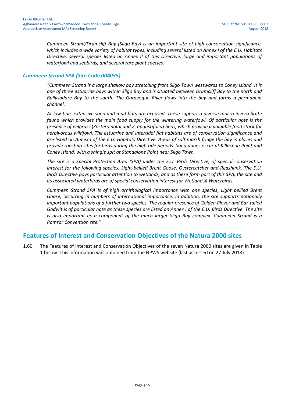Cummeen Strand/Drumcliff Bay (Sligo Bay) is an important site of high conservation significance, which includes a wide variety of habitat types, including several listed on Annex I of the E.U. Habitats Directive, several species listed on Annex II of this Directive, large and important populations of waterfowl and seabirds, and several rare plant species."

#### Cummeen Strand SPA (Site Code 004035)

"Cummeen Strand is a large shallow bay stretching from Sligo Town westwards to Coney Island. It is one of three estuarine bays within Sligo Bay and is situated between Drumcliff Bay to the north and Ballysadare Bay to the south. The Garavogue River flows into the bay and forms a permanent channel.

At low tide, extensive sand and mud flats are exposed. These support a diverse macro-invertebrate fauna which provides the main food supply for the wintering waterfowl. Of particular note is the presence of eelgrass (Zostera noltii and Z. angustifolia) beds, which provide a valuable food stock for herbivorous wildfowl. The estuarine and intertidal flat habitats are of conservation significance and are listed on Annex I of the E.U. Habitats Directive. Areas of salt marsh fringe the bay in places and provide roosting sites for birds during the high tide periods. Sand dunes occur at Killaspug Point and Coney Island, with a shingle spit at Standalone Point near Sligo Town.

The site is a Special Protection Area (SPA) under the E.U. Birds Directive, of special conservation interest for the following species: Light-bellied Brent Goose, Oystercatcher and Redshank. The E.U. Birds Directive pays particular attention to wetlands, and as these form part of this SPA, the site and its associated waterbirds are of special conservation interest for Wetland & Waterbirds.

Cummeen Strand SPA is of high ornithological importance with one species, Light bellied Brent Goose, occurring in numbers of international importance. In addition, the site supports nationally important populations of a further two species. The regular presence of Golden Plover and Bar-tailed Godwit is of particular note as these species are listed on Annex I of the E.U. Birds Directive. The site is also important as a component of the much larger Sligo Bay complex. Cummeen Strand is a Ramsar Convention site."

### Features of Interest and Conservation Objectives of the Natura 2000 sites

1.60 The Features of Interest and Conservation Objectives of the seven Natura 2000 sites are given in Table 1 below. This information was obtained from the NPWS website (last accessed on 27 July 2018).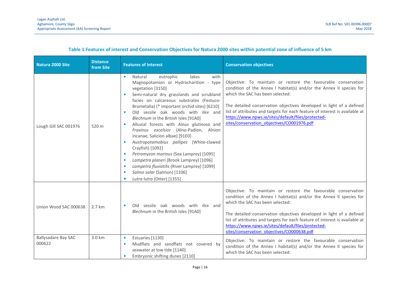| Natura 2000 Site                     | <b>Distance</b><br>from Site | <b>Features of Interest</b>                                                                                                                                                                                                                                                                                                                                                                                                                                                                                                                                                                                                                                                                                                                                                                      | <b>Conservation objectives</b>                                                                                                                                                                                                                                                                                                                                                                                                      |
|--------------------------------------|------------------------------|--------------------------------------------------------------------------------------------------------------------------------------------------------------------------------------------------------------------------------------------------------------------------------------------------------------------------------------------------------------------------------------------------------------------------------------------------------------------------------------------------------------------------------------------------------------------------------------------------------------------------------------------------------------------------------------------------------------------------------------------------------------------------------------------------|-------------------------------------------------------------------------------------------------------------------------------------------------------------------------------------------------------------------------------------------------------------------------------------------------------------------------------------------------------------------------------------------------------------------------------------|
| Lough Gill SAC 001976                | 520 m                        | Natural<br>eutrophic<br>lakes<br>$\bullet$<br>with<br>Magnopotamion or Hydrocharition - type<br>vegetation [3150]<br>Semi-natural dry grasslands and scrubland<br>$\bullet$<br>facies on calcareous substrates (Festuco-<br>Brometalia) (* important orchid sites) [6210]<br>Old sessile oak woods with Ilex and<br>Blechnum in the British Isles [91A0]<br>Alluvial forests with Alnus glutinosa and<br>$\bullet$<br>Fraxinus excelsior (Alno-Padion, Alnion<br>incanae, Salicion albae) [91E0]<br>Austropotamobius pallipes (White-clawed<br>Crayfish) [1092]<br>Petromyzon marinus (Sea Lamprey) [1095]<br>$\bullet$<br>Lampetra planeri (Brook Lamprey) [1096]<br>$\bullet$<br>Lampetra fluviatilis (River Lamprey) [1099]<br>٠<br>Salmo salar (Salmon) [1106]<br>Lutra lutra (Otter) [1355] | Objective: To maintain or restore the favourable conservation<br>condition of the Annex I habitat(s) and/or the Annex II species for<br>which the SAC has been selected:<br>The detailed conservation objectives developed in light of a defined<br>list of attributes and targets for each feature of interest is available at<br>https://www.npws.ie/sites/default/files/protected-<br>sites/conservation objectives/CO001976.pdf |
| Union Wood SAC 000638                | 2.7 km                       | Old sessile oak woods with <i>Ilex</i> and<br>Blechnum in the British Isles [91A0]                                                                                                                                                                                                                                                                                                                                                                                                                                                                                                                                                                                                                                                                                                               | Objective: To maintain or restore the favourable conservation<br>condition of the Annex I habitat(s) and/or the Annex II species for<br>which the SAC has been selected:<br>The detailed conservation objectives developed in light of a defined<br>list of attributes and targets for each feature of interest is available at<br>https://www.npws.ie/sites/default/files/protected-<br>sites/conservation_objectives/CO000638.pdf |
| <b>Ballysadare Bay SAC</b><br>000622 | 3.0 km                       | Estuaries [1130]<br>$\bullet$<br>Mudflats and sandflats not covered by<br>$\bullet$<br>seawater at low tide [1140]<br>Embryonic shifting dunes [2110]                                                                                                                                                                                                                                                                                                                                                                                                                                                                                                                                                                                                                                            | Objective: To maintain or restore the favourable conservation<br>condition of the Annex I habitat(s) and/or the Annex II species for<br>which the SAC has been selected:                                                                                                                                                                                                                                                            |

#### Table 1 Features of interest and Conservation Objectives for Natura 2000 sites within potential zone of influence of 5 km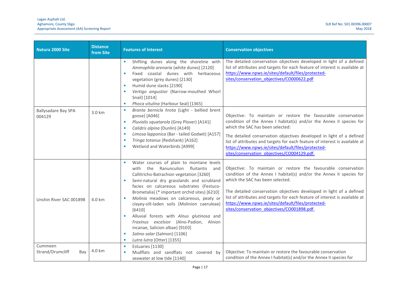| Natura 2000 Site                     | <b>Distance</b><br>from Site | <b>Features of Interest</b>                                                                                                                                                                                                                                                                                                                                                                                                                                                                                                                                                                         | <b>Conservation objectives</b>                                                                                                                                                                                                                                                                                                                                                                                                       |  |  |
|--------------------------------------|------------------------------|-----------------------------------------------------------------------------------------------------------------------------------------------------------------------------------------------------------------------------------------------------------------------------------------------------------------------------------------------------------------------------------------------------------------------------------------------------------------------------------------------------------------------------------------------------------------------------------------------------|--------------------------------------------------------------------------------------------------------------------------------------------------------------------------------------------------------------------------------------------------------------------------------------------------------------------------------------------------------------------------------------------------------------------------------------|--|--|
|                                      |                              | Shifting dunes along the shoreline with<br>$\bullet$<br>Ammophila arenaria (white dunes) [2120]<br>Fixed coastal dunes with herbaceous<br>$\bullet$<br>vegetation (grey dunes) [2130]<br>Humid dune slacks [2190]<br>$\bullet$<br>Vertigo angustior (Narrow-mouthed Whorl<br>$\bullet$<br>Snail) [1014]<br>Phoca vitulina (Harbour Seal) [1365]<br>$\bullet$<br>Branta bernicla hrota (Light - bellied brent<br>$\bullet$                                                                                                                                                                           | The detailed conservation objectives developed in light of a defined<br>list of attributes and targets for each feature of interest is available at<br>https://www.npws.ie/sites/default/files/protected-<br>sites/conservation_objectives/CO000622.pdf                                                                                                                                                                              |  |  |
| <b>Ballysadare Bay SPA</b><br>004129 | 3.0 km                       | goose) [A046]<br>Pluvialis squatarola (Grey Plover) [A141]<br>$\bullet$<br>Calidris alpina (Dunlin) [A149]<br>$\bullet$<br>Limosa lapponica (Bar - tailed Godwit) [A157]<br>$\bullet$<br>Tringa totanus (Redshank) [A162]<br>$\bullet$<br>Wetland and Waterbirds [A999]<br>٠                                                                                                                                                                                                                                                                                                                        | Objective: To maintain or restore the favourable conservation<br>condition of the Annex I habitat(s) and/or the Annex II species for<br>which the SAC has been selected:<br>The detailed conservation objectives developed in light of a defined<br>list of attributes and targets for each feature of interest is available at<br>https://www.npws.ie/sites/default/files/protected-<br>sites/conservation objectives/CO004129.pdf. |  |  |
| Unshin River SAC 001898              | 4.0 km                       | Water courses of plain to montane levels<br>with the Ranunculion<br>fluitantis<br>and<br>Callitricho-Batrachion vegetation [3260]<br>Semi-natural dry grasslands and scrubland<br>$\bullet$<br>facies on calcareous substrates (Festuco-<br>Brometalia) (* important orchid sites) [6210]<br>Molinia meadows on calcareous, peaty or<br>clayey-silt-laden soils (Molinion caeruleae)<br>[6410]<br>Alluvial forests with Alnus glutinosa and<br>Fraxinus excelsior (Alno-Padion, Alnion<br>incanae, Salicion albae) [91E0]<br>Salmo salar (Salmon) [1106]<br>$\bullet$<br>Lutra lutra (Otter) [1355] | Objective: To maintain or restore the favourable conservation<br>condition of the Annex I habitat(s) and/or the Annex II species for<br>which the SAC has been selected.<br>The detailed conservation objectives developed in light of a defined<br>list of attributes and targets for each feature of interest is available at<br>https://www.npws.ie/sites/default/files/protected-<br>sites/conservation objectives/CO001898.pdf. |  |  |
| Cummeen<br>Strand/Drumcliff<br>Bay   | 4.0 km                       | Estuaries [1130]<br>$\bullet$<br>Mudflats and sandflats not covered by<br>$\bullet$<br>seawater at low tide [1140]                                                                                                                                                                                                                                                                                                                                                                                                                                                                                  | Objective: To maintain or restore the favourable conservation<br>condition of the Annex I habitat(s) and/or the Annex II species for                                                                                                                                                                                                                                                                                                 |  |  |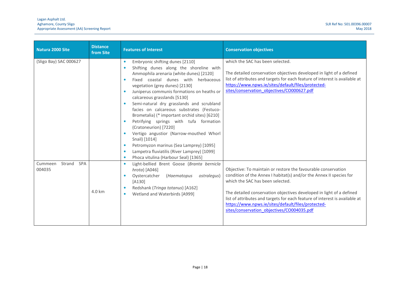| Natura 2000 Site                          | <b>Distance</b><br>from Site | <b>Features of Interest</b>                                                                                                                                                                                                                                                                                                                                                                                                                                                                                                                                                                                                                                                                                                                               | <b>Conservation objectives</b>                                                                                                                                                                                                                                                                                                                                                                                                      |  |  |
|-------------------------------------------|------------------------------|-----------------------------------------------------------------------------------------------------------------------------------------------------------------------------------------------------------------------------------------------------------------------------------------------------------------------------------------------------------------------------------------------------------------------------------------------------------------------------------------------------------------------------------------------------------------------------------------------------------------------------------------------------------------------------------------------------------------------------------------------------------|-------------------------------------------------------------------------------------------------------------------------------------------------------------------------------------------------------------------------------------------------------------------------------------------------------------------------------------------------------------------------------------------------------------------------------------|--|--|
| (Sligo Bay) SAC 000627                    |                              | Embryonic shifting dunes [2110]<br>$\bullet$<br>Shifting dunes along the shoreline with<br>$\bullet$<br>Ammophila arenaria (white dunes) [2120]<br>Fixed coastal dunes with herbaceous<br>vegetation (grey dunes) [2130]<br>Juniperus communis formations on heaths or<br>calcareous grasslands [5130]<br>Semi-natural dry grasslands and scrubland<br>facies on calcareous substrates (Festuco-<br>Brometalia) (* important orchid sites) [6210]<br>Petrifying springs with tufa formation<br>(Cratoneurion) [7220]<br>Vertigo angustior (Narrow-mouthed Whorl<br>Snail) [1014]<br>Petromyzon marinus (Sea Lamprey) [1095]<br>$\bullet$<br>Lampetra fluviatilis (River Lamprey) [1099]<br>$\bullet$<br>Phoca vitulina (Harbour Seal) [1365]<br>$\bullet$ | which the SAC has been selected.<br>The detailed conservation objectives developed in light of a defined<br>list of attributes and targets for each feature of interest is available at<br>https://www.npws.ie/sites/default/files/protected-<br>sites/conservation_objectives/CO000627.pdf                                                                                                                                         |  |  |
| Strand<br><b>SPA</b><br>Cummeen<br>004035 | 4.0 km                       | Light-bellied Brent Goose (Branta bernicla<br>$\bullet$<br>$hrota)$ [A046]<br>Oystercatcher<br>(Haematopus<br>ostralegus)<br>$[A130]$<br>Redshank (Tringa totanus) [A162]<br>Wetland and Waterbirds [A999]<br>$\bullet$                                                                                                                                                                                                                                                                                                                                                                                                                                                                                                                                   | Objective: To maintain or restore the favourable conservation<br>condition of the Annex I habitat(s) and/or the Annex II species for<br>which the SAC has been selected.<br>The detailed conservation objectives developed in light of a defined<br>list of attributes and targets for each feature of interest is available at<br>https://www.npws.ie/sites/default/files/protected-<br>sites/conservation_objectives/CO004035.pdf |  |  |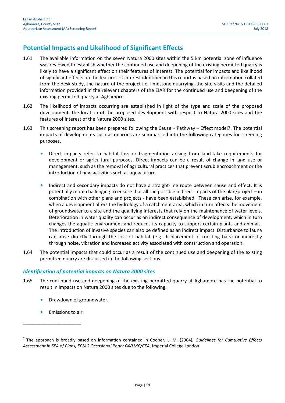### Potential Impacts and Likelihood of Significant Effects

- 1.61 The available information on the seven Natura 2000 sites within the 5 km potential zone of influence was reviewed to establish whether the continued use and deepening of the existing permitted quarry is likely to have a significant effect on their features of interest. The potential for impacts and likelihood of significant effects on the features of interest identified in this report is based on information collated from the desk study, the nature of the project i.e. limestone quarrying, the site visits and the detailed information provided in the relevant chapters of the EIAR for the continued use and deepening of the existing permitted quarry at Aghamore.
- 1.62 The likelihood of impacts occurring are established in light of the type and scale of the proposed development, the location of the proposed development with respect to Natura 2000 sites and the features of interest of the Natura 2000 sites.
- 1.63 This screening report has been prepared following the Cause Pathway Effect model7. The potential impacts of developments such as quarries are summarised into the following categories for screening purposes.
	- Direct impacts refer to habitat loss or fragmentation arising from land-take requirements for development or agricultural purposes. Direct impacts can be a result of change in land use or management, such as the removal of agricultural practices that prevent scrub encroachment or the introduction of new activities such as aquaculture.
	- Indirect and secondary impacts do not have a straight-line route between cause and effect. It is potentially more challenging to ensure that all the possible indirect impacts of the plan/project – in combination with other plans and projects - have been established. These can arise, for example, when a development alters the hydrology of a catchment area, which in turn affects the movement of groundwater to a site and the qualifying interests that rely on the maintenance of water levels. Deterioration in water quality can occur as an indirect consequence of development, which in turn changes the aquatic environment and reduces its capacity to support certain plants and animals. The introduction of invasive species can also be defined as an indirect impact. Disturbance to fauna can arise directly through the loss of habitat (e.g. displacement of roosting bats) or indirectly through noise, vibration and increased activity associated with construction and operation.
- 1.64 The potential impacts that could occur as a result of the continued use and deepening of the existing permitted quarry are discussed in the following sections.

#### Identification of potential impacts on Natura 2000 sites

- 1.65 The continued use and deepening of the existing permitted quarry at Aghamore has the potential to result in impacts on Natura 2000 sites due to the following:
	- Drawdown of groundwater.
	- Emissions to air.

 $^7$  The approach is broadly based on information contained in Cooper, L. M. (2004), Guidelines for Cumulative Effects Assessment in SEA of Plans, EPMG Occasional Paper 04/LMC/CEA, Imperial College London.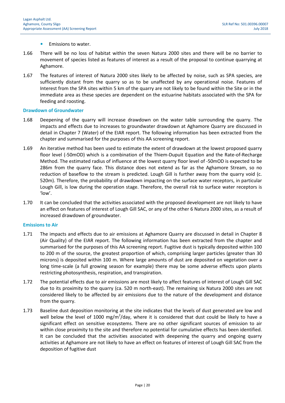- Emissions to water.
- 1.66 There will be no loss of habitat within the seven Natura 2000 sites and there will be no barrier to movement of species listed as features of interest as a result of the proposal to continue quarrying at Aghamore.
- 1.67 The features of interest of Natura 2000 sites likely to be affected by noise, such as SPA species, are sufficiently distant from the quarry so as to be unaffected by any operational noise. Features of Interest from the SPA sites within 5 km of the quarry are not likely to be found within the Site or in the immediate area as these species are dependent on the estuarine habitats associated with the SPA for feeding and roosting.

#### Drawdown of Groundwater

- 1.68 Deepening of the quarry will increase drawdown on the water table surrounding the quarry. The impacts and effects due to increases to groundwater drawdown at Aghamore Quarry are discussed in detail in Chapter 7 (Water) of the EIAR report. The following information has been extracted from the chapter and summarised for the purposes of this AA screening report.
- 1.69 An iterative method has been used to estimate the extent of drawdown at the lowest proposed quarry floor level (-50mOD) which is a combination of the Thiem-Dupuit Equation and the Rate-of-Recharge Method. The estimated radius of influence at the lowest quarry floor level of -50mOD is expected to be 286m from the quarry face. This distance does not extend as far as the Aghamore Stream, so no reduction of baseflow to the stream is predicted. Lough Gill is further away from the quarry void (c. 520m). Therefore, the probability of drawdown impacting on the surface water receptors, in particular Lough Gill, is low during the operation stage. Therefore, the overall risk to surface water receptors is 'low'.
- 1.70 It can be concluded that the activities associated with the proposed development are not likely to have an effect on features of interest of Lough Gill SAC, or any of the other 6 Natura 2000 sites, as a result of increased drawdown of groundwater.

#### Emissions to Air

- 1.71 The impacts and effects due to air emissions at Aghamore Quarry are discussed in detail in Chapter 8 (Air Quality) of the EIAR report. The following information has been extracted from the chapter and summarised for the purposes of this AA screening report. Fugitive dust is typically deposited within 100 to 200 m of the source, the greatest proportion of which, comprising larger particles (greater than 30 microns) is deposited within 100 m. Where large amounts of dust are deposited on vegetation over a long time-scale (a full growing season for example) there may be some adverse effects upon plants restricting photosynthesis, respiration, and transpiration.
- 1.72 The potential effects due to air emissions are most likely to affect features of interest of Lough Gill SAC due to its proximity to the quarry (ca. 520 m north-east). The remaining six Natura 2000 sites are not considered likely to be affected by air emissions due to the nature of the development and distance from the quarry.
- 1.73 Baseline dust deposition monitoring at the site indicates that the levels of dust generated are low and well below the level of 1000 mg/m<sup>2</sup>/day, where it is considered that dust could be likely to have a significant effect on sensitive ecosystems. There are no other significant sources of emission to air within close proximity to the site and therefore no potential for cumulative effects has been identified. It can be concluded that the activities associated with deepening the quarry and ongoing quarry activities at Aghamore are not likely to have an effect on features of interest of Lough Gill SAC from the deposition of fugitive dust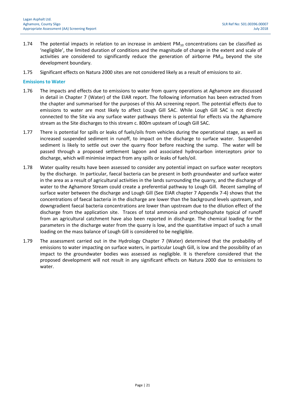- 1.74 The potential impacts in relation to an increase in ambient  $PM_{10}$  concentrations can be classified as 'negligible', the limited duration of conditions and the magnitude of change in the extent and scale of activities are considered to significantly reduce the generation of airborne PM $_{10}$  beyond the site development boundary.
- 1.75 Significant effects on Natura 2000 sites are not considered likely as a result of emissions to air.

#### Emissions to Water

- 1.76 The impacts and effects due to emissions to water from quarry operations at Aghamore are discussed in detail in Chapter 7 (Water) of the EIAR report. The following information has been extracted from the chapter and summarised for the purposes of this AA screening report. The potential effects due to emissions to water are most likely to affect Lough Gill SAC. While Lough Gill SAC is not directly connected to the Site via any surface water pathways there is potential for effects via the Aghamore stream as the Site discharges to this stream c. 800m upsteam of Lough Gill SAC.
- 1.77 There is potential for spills or leaks of fuels/oils from vehicles during the operational stage, as well as increased suspended sediment in runoff, to impact on the discharge to surface water. Suspended sediment is likely to settle out over the quarry floor before reaching the sump. The water will be passed through a proposed settlement lagoon and associated hydrocarbon interceptors prior to discharge, which will minimise impact from any spills or leaks of fuels/oil.
- 1.78 Water quality results have been assessed to consider any potential impact on surface water receptors by the discharge. In particular, faecal bacteria can be present in both groundwater and surface water in the area as a result of agricultural activities in the lands surrounding the quarry, and the discharge of water to the Aghamore Stream could create a preferential pathway to Lough Gill. Recent sampling of surface water between the discharge and Lough Gill (See EIAR chapter 7 Appendix 7-4) shows that the concentrations of faecal bacteria in the discharge are lower than the background levels upstream, and downgradient faecal bacteria concentrations are lower than upstream due to the dilution effect of the discharge from the application site. Traces of total ammonia and orthophosphate typical of runoff from an agricultural catchment have also been reported in discharge. The chemical loading for the parameters in the discharge water from the quarry is low, and the quantitative impact of such a small loading on the mass balance of Lough Gill is considered to be negligible.
- 1.79 The assessment carried out in the Hydrology Chapter 7 (Water) determined that the probability of emissions to water impacting on surface waters, in particular Lough Gill, is low and the possibility of an impact to the groundwater bodies was assessed as negligible. It is therefore considered that the proposed development will not result in any significant effects on Natura 2000 due to emissions to water.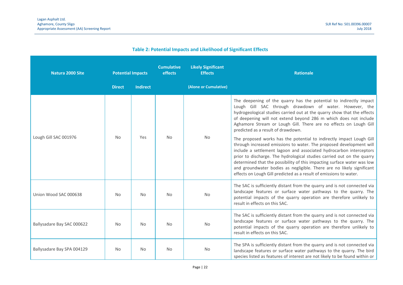| <b>Table 2: Potential Impacts and Likelihood of Significant Effects</b> |  |  |  |  |
|-------------------------------------------------------------------------|--|--|--|--|
|-------------------------------------------------------------------------|--|--|--|--|

| Natura 2000 Site           | <b>Potential Impacts</b> |                 | <b>Cumulative</b><br>effects | <b>Likely Significant</b><br><b>Effects</b> | <b>Rationale</b>                                                                                                                                                                                                                                                                                                                                                                                                                                                                                                       |
|----------------------------|--------------------------|-----------------|------------------------------|---------------------------------------------|------------------------------------------------------------------------------------------------------------------------------------------------------------------------------------------------------------------------------------------------------------------------------------------------------------------------------------------------------------------------------------------------------------------------------------------------------------------------------------------------------------------------|
|                            | <b>Direct</b>            | <b>Indirect</b> |                              | (Alone or Cumulative)                       |                                                                                                                                                                                                                                                                                                                                                                                                                                                                                                                        |
|                            | <b>No</b>                | Yes             | <b>No</b>                    | No                                          | The deepening of the quarry has the potential to indirectly impact<br>Lough Gill SAC through drawdown of water. However, the<br>hydrogeological studies carried out at the quarry show that the effects<br>of deepening will not extend beyond 286 m which does not include<br>Aghamore Stream or Lough Gill. There are no effects on Lough Gill<br>predicted as a result of drawdown.                                                                                                                                 |
| Lough Gill SAC 001976      |                          |                 |                              |                                             | The proposed works has the potential to indirectly impact Lough Gill<br>through increased emissions to water. The proposed development will<br>include a settlement lagoon and associated hydrocarbon interceptors<br>prior to discharge. The hydrological studies carried out on the quarry<br>determined that the possibility of this impacting surface water was low<br>and groundwater bodies as negligible. There are no likely significant<br>effects on Lough Gill predicted as a result of emissions to water. |
| Union Wood SAC 000638      | <b>No</b>                | <b>No</b>       | <b>No</b>                    | No                                          | The SAC is sufficiently distant from the quarry and is not connected via<br>landscape features or surface water pathways to the quarry. The<br>potential impacts of the quarry operation are therefore unlikely to<br>result in effects on this SAC.                                                                                                                                                                                                                                                                   |
| Ballysadare Bay SAC 000622 | No                       | No              | <b>No</b>                    | No                                          | The SAC is sufficiently distant from the quarry and is not connected via<br>landscape features or surface water pathways to the quarry. The<br>potential impacts of the quarry operation are therefore unlikely to<br>result in effects on this SAC.                                                                                                                                                                                                                                                                   |
| Ballysadare Bay SPA 004129 | <b>No</b>                | <b>No</b>       | <b>No</b>                    | No                                          | The SPA is sufficiently distant from the quarry and is not connected via<br>landscape features or surface water pathways to the quarry. The bird<br>species listed as features of interest are not likely to be found within or                                                                                                                                                                                                                                                                                        |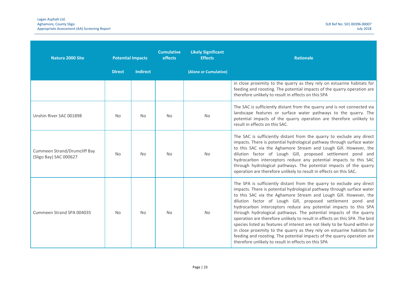| Natura 2000 Site                                       | <b>Potential Impacts</b> |                 | <b>Cumulative</b><br>effects | <b>Likely Significant</b><br><b>Effects</b> | <b>Rationale</b>                                                                                                                                                                                                                                                                                                                                                                                                                                                                                                                                                                                                                                                                                                                                                                                         |
|--------------------------------------------------------|--------------------------|-----------------|------------------------------|---------------------------------------------|----------------------------------------------------------------------------------------------------------------------------------------------------------------------------------------------------------------------------------------------------------------------------------------------------------------------------------------------------------------------------------------------------------------------------------------------------------------------------------------------------------------------------------------------------------------------------------------------------------------------------------------------------------------------------------------------------------------------------------------------------------------------------------------------------------|
|                                                        | <b>Direct</b>            | <b>Indirect</b> |                              | (Alone or Cumulative)                       |                                                                                                                                                                                                                                                                                                                                                                                                                                                                                                                                                                                                                                                                                                                                                                                                          |
|                                                        |                          |                 |                              |                                             | in close proximity to the quarry as they rely on estuarine habitats for<br>feeding and roosting. The potential impacts of the quarry operation are<br>therefore unlikely to result in effects on this SPA                                                                                                                                                                                                                                                                                                                                                                                                                                                                                                                                                                                                |
| Unshin River SAC 001898                                | <b>No</b>                | <b>No</b>       | <b>No</b>                    | No                                          | The SAC is sufficiently distant from the quarry and is not connected via<br>landscape features or surface water pathways to the quarry. The<br>potential impacts of the quarry operation are therefore unlikely to<br>result in effects on this SAC.                                                                                                                                                                                                                                                                                                                                                                                                                                                                                                                                                     |
| Cummeen Strand/Drumcliff Bay<br>(Sligo Bay) SAC 000627 | No.                      | <b>No</b>       | <b>No</b>                    | <b>No</b>                                   | The SAC is sufficiently distant from the quarry to exclude any direct<br>impacts. There is potential hydrological pathway through surface water<br>to this SAC via the Aghamore Stream and Lough Gill. However, the<br>dilution factor of Lough Gill, proposed settlement pond and<br>hydrocarbon interceptors reduce any potential impacts to this SAC<br>through hydrological pathways. The potential impacts of the quarry<br>operation are therefore unlikely to result in effects on this SAC.                                                                                                                                                                                                                                                                                                      |
| Cummeen Strand SPA 004035                              | N <sub>o</sub>           | <b>No</b>       | <b>No</b>                    | <b>No</b>                                   | The SPA is sufficiently distant from the quarry to exclude any direct<br>impacts. There is potential hydrological pathway through surface water<br>to this SAC via the Aghamore Stream and Lough Gill. However, the<br>dilution factor of Lough Gill, proposed settlement pond and<br>hydrocarbon interceptors reduce any potential impacts to this SPA<br>through hydrological pathways. The potential impacts of the quarry<br>operation are therefore unlikely to result in effects on this SPA .The bird<br>species listed as features of interest are not likely to be found within or<br>in close proximity to the quarry as they rely on estuarine habitats for<br>feeding and roosting. The potential impacts of the quarry operation are<br>therefore unlikely to result in effects on this SPA |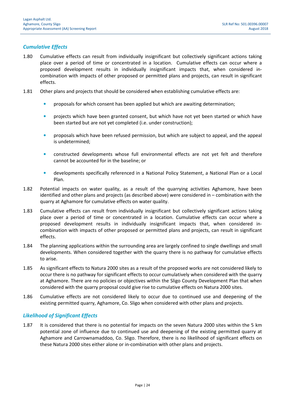#### Cumulative Effects

- 1.80 Cumulative effects can result from individually insignificant but collectively significant actions taking place over a period of time or concentrated in a location. Cumulative effects can occur where a proposed development results in individually insignificant impacts that, when considered incombination with impacts of other proposed or permitted plans and projects, can result in significant effects.
- 1.81 Other plans and projects that should be considered when establishing cumulative effects are:
	- proposals for which consent has been applied but which are awaiting determination;
	- projects which have been granted consent, but which have not yet been started or which have been started but are not yet completed (i.e. under construction);
	- proposals which have been refused permission, but which are subject to appeal, and the appeal is undetermined;
	- constructed developments whose full environmental effects are not yet felt and therefore cannot be accounted for in the baseline; or
	- developments specifically referenced in a National Policy Statement, a National Plan or a Local Plan.
- 1.82 Potential impacts on water quality, as a result of the quarrying activities Aghamore, have been identified and other plans and projects (as described above) were considered in – combination with the quarry at Aghamore for cumulative effects on water quality.
- 1.83 Cumulative effects can result from individually insignificant but collectively significant actions taking place over a period of time or concentrated in a location. Cumulative effects can occur where a proposed development results in individually insignificant impacts that, when considered incombination with impacts of other proposed or permitted plans and projects, can result in significant effects.
- 1.84 The planning applications within the surrounding area are largely confined to single dwellings and small developments. When considered together with the quarry there is no pathway for cumulative effects to arise.
- 1.85 As significant effects to Natura 2000 sites as a result of the proposed works are not considered likely to occur there is no pathway for significant effects to occur cumulatively when considered with the quarry at Aghamore. There are no policies or objectives within the Sligo County Development Plan that when considered with the quarry proposal could give rise to cumulative effects on Natura 2000 sites.
- 1.86 Cumulative effects are not considered likely to occur due to continued use and deepening of the existing permitted quarry, Aghamore, Co. Sligo when considered with other plans and projects.

#### Likelihood of Significant Effects

1.87 It is considered that there is no potential for impacts on the seven Natura 2000 sites within the 5 km potential zone of influence due to continued use and deepening of the existing permitted quarry at Aghamore and Carrownamaddoo, Co. Sligo. Therefore, there is no likelihood of significant effects on these Natura 2000 sites either alone or in-combination with other plans and projects.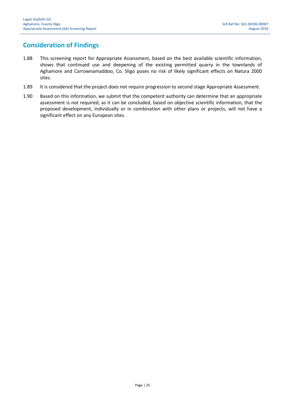### Consideration of Findings

- 1.88 This screening report for Appropriate Assessment, based on the best available scientific information, shows that continued use and deepening of the existing permitted quarry in the townlands of Aghamore and Carrownamaddoo, Co. Sligo poses no risk of likely significant effects on Natura 2000 sites.
- 1.89 It is considered that the project does not require progression to second stage Appropriate Assessment.
- 1.90 Based on this information, we submit that the competent authority can determine that an appropriate assessment is not required, as it can be concluded, based on objective scientific information, that the proposed development, individually or in combination with other plans or projects, will not have a significant effect on any European sites.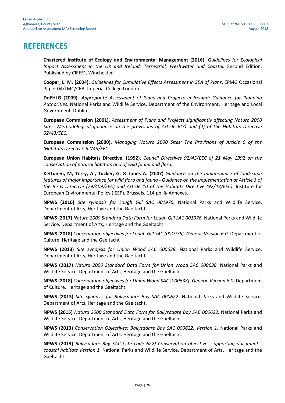### **REFERENCES**

Chartered Institute of Ecology and Environmental Management (2016). Guidelines for Ecological Impact Assessment in the UK and Ireland: Terrestrial, Freshwater and Coastal. Second Edition. Published by CIEEM, Winchester.

Cooper, L. M. (2004). Guidelines for Cumulative Effects Assessment in SEA of Plans, EPMG Occasional Paper 04/LMC/CEA, Imperial College London.

DoEHLG (2009). Appropriate Assessment of Plans and Projects in Ireland: Guidance for Planning Authorities. National Parks and Wildlife Service, Department of the Environment, Heritage and Local Government. Dublin.

European Commission (2001). Assessment of Plans and Projects significantly affecting Natura 2000 Sites: Methodological guidance on the provisions of Article 6(3) and (4) of the Habitats Directive 92/43/EEC.

European Commission (2000). Managing Natura 2000 Sites: The Provisions of Article 6 of the 'Habitats Directive' 92/43/EEC.

European Union Habitats Directive, (1992). Council Directives 92/43/EEC of 21 May 1992 on the conservation of natural habitats and of wild fauna and flora.

Kettunen, M, Terry, A., Tucker, G. & Jones A. (2007) Guidance on the maintenance of landscape features of major importance for wild flora and fauna - Guidance on the implementation of Article 3 of the Birds Directive (79/409/EEC) and Article 10 of the Habitats Directive (92/43/EEC). Institute for European Environmental Policy (IEEP), Brussels, 114 pp. & Annexes.

NPWS (2016) Site synopsis for Lough Gill SAC 001976. National Parks and Wildlife Service, Department of Arts, Heritage and the Gaeltacht

NPWS (2017) Natura 2000 Standard Data Form for Lough Gill SAC 001976. National Parks and Wildlife Service, Department of Arts, Heritage and the Gaeltacht

NPWS (2018) Conservation objectives for Lough Gill SAC [001976]. Generic Version 6.0. Department of Culture, Heritage and the Gaeltacht

NPWS (2013) Site synopsis for Union Wood SAC 000638. National Parks and Wildlife Service, Department of Arts, Heritage and the Gaeltacht

NPWS (2017) Natura 2000 Standard Data Form for Union Wood SAC 000638. National Parks and Wildlife Service, Department of Arts, Heritage and the Gaeltacht

NPWS (2018) Conservation objectives for Union Wood SAC [000638]. Generic Version 6.0. Department of Culture, Heritage and the Gaeltacht

NPWS (2013) Site synopsis for Ballysadare Bay SAC 000622. National Parks and Wildlife Service, Department of Arts, Heritage and the Gaeltacht.

NPWS (2015) Natura 2000 Standard Data Form for Ballysadare Bay SAC 000622. National Parks and Wildlife Service, Department of Arts, Heritage and the Gaeltacht

NPWS (2013) Conservation Objectives: Ballysadare Bay SAC 000622. Version 1. National Parks and Wildlife Service, Department of Arts, Heritage and the Gaeltacht.

NPWS (2013) Ballysadare Bay SAC (site code 622) Conservation objectives supporting document coastal habitats Version 1. National Parks and Wildlife Service, Department of Arts, Heritage and the Gaeltacht.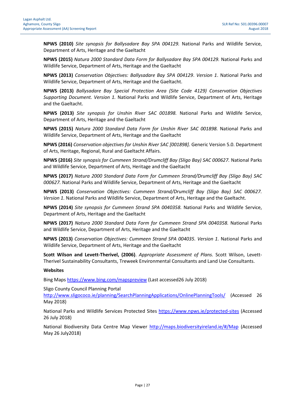NPWS (2010) Site synopsis for Ballysadare Bay SPA 004129. National Parks and Wildlife Service, Department of Arts, Heritage and the Gaeltacht

NPWS (2015) Natura 2000 Standard Data Form for Ballysadare Bay SPA 004129. National Parks and Wildlife Service, Department of Arts, Heritage and the Gaeltacht

NPWS (2013) Conservation Objectives: Ballysadare Bay SPA 004129. Version 1. National Parks and Wildlife Service, Department of Arts, Heritage and the Gaeltacht.

NPWS (2013) Ballysadare Bay Special Protection Area (Site Code 4129) Conservation Objectives Supporting Document. Version 1. National Parks and Wildlife Service, Department of Arts, Heritage and the Gaeltacht.

NPWS (2013) Site synopsis for Unshin River SAC 001898. National Parks and Wildlife Service, Department of Arts, Heritage and the Gaeltacht

NPWS (2015) Natura 2000 Standard Data Form for Unshin River SAC 001898. National Parks and Wildlife Service, Department of Arts, Heritage and the Gaeltacht

NPWS (2016) Conservation objectives for Unshin River SAC [001898]. Generic Version 5.0. Department of Arts, Heritage, Regional, Rural and Gaeltacht Affairs.

NPWS (2016) Site synopsis for Cummeen Strand/Drumcliff Bay (Sligo Bay) SAC 000627. National Parks and Wildlife Service, Department of Arts, Heritage and the Gaeltacht

NPWS (2017) Natura 2000 Standard Data Form for Cummeen Strand/Drumcliff Bay (Sligo Bay) SAC 000627. National Parks and Wildlife Service, Department of Arts, Heritage and the Gaeltacht

NPWS (2013) Conservation Objectives: Cummeen Strand/Drumcliff Bay (Sligo Bay) SAC 000627. Version 1. National Parks and Wildlife Service, Department of Arts, Heritage and the Gaeltacht.

NPWS (2014) Site synopsis for Cummeen Strand SPA 0040358. National Parks and Wildlife Service, Department of Arts, Heritage and the Gaeltacht

NPWS (2017) Natura 2000 Standard Data Form for Cummeen Strand SPA 0040358. National Parks and Wildlife Service, Department of Arts, Heritage and the Gaeltacht

NPWS (2013) Conservation Objectives: Cummeen Strand SPA 004035. Version 1. National Parks and Wildlife Service, Department of Arts, Heritage and the Gaeltacht

Scott Wilson and Levett-Therivel, (2006). Appropriate Assessment of Plans. Scott Wilson, Levett-Therivel Sustainability Consultants, Treweek Environmental Consultants and Land Use Consultants.

#### Websites

Bing Maps https://www.bing.com/mapspreview (Last accessed26 July 2018)

Sligo County Council Planning Portal

http://www.sligococo.ie/planning/SearchPlanningApplications/OnlinePlanningTools/ (Accessed 26 May 2018)

National Parks and Wildlife Services Protected Sites https://www.npws.ie/protected-sites (Accessed 26 July 2018)

National Biodiversity Data Centre Map Viewer http://maps.biodiversityireland.ie/#/Map (Accessed May 26 July2018)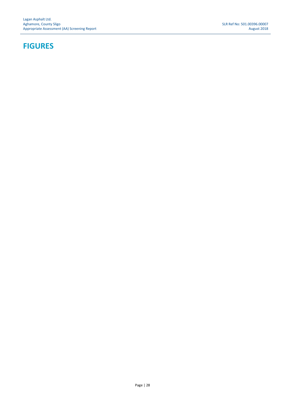### FIGURES